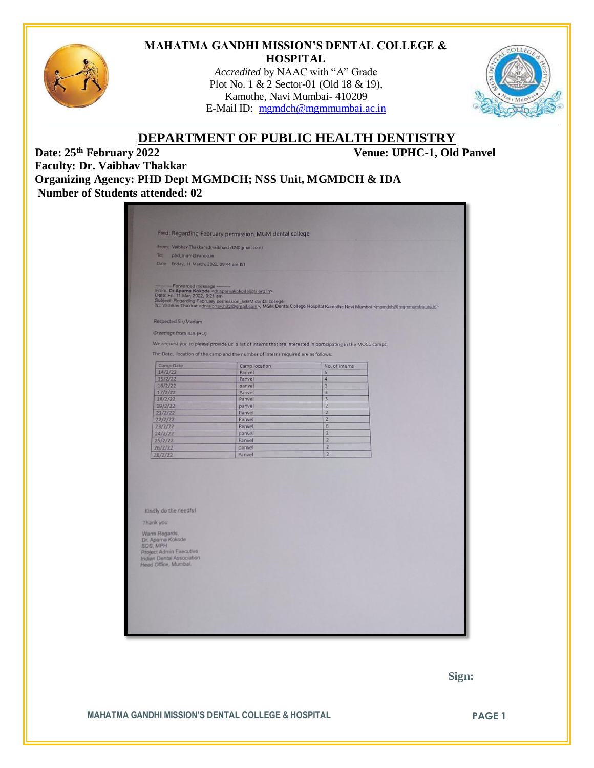

#### **MAHATMA GANDHI MISSION'S DENTAL COLLEGE & HOSPITAL**

*Accredited* by NAAC with "A" Grade Plot No. 1 & 2 Sector-01 (Old 18 & 19), Kamothe, Navi Mumbai- 410209 E-Mail ID: [mgmdch@mgmmumbai.ac.in](mailto:mgmdch@mgmmumbai.ac.in)



# **DEPARTMENT OF PUBLIC HEALTH DENTISTRY**<br>Venue: 25<sup>th</sup> February 2022<br>Venue: UPHC-1, Old

**Venue: UPHC-1, Old Panvel** 

**Faculty: Dr. Vaibhav Thakkar Organizing Agency: PHD Dept MGMDCH; NSS Unit, MGMDCH & IDA Number of Students attended: 02**

|                                                                                                                                              | From: Vaibhav Thakkar (drvaibhav.h32@gmail.com)                                                                                                |                                                                                                                                                                            |  |  |
|----------------------------------------------------------------------------------------------------------------------------------------------|------------------------------------------------------------------------------------------------------------------------------------------------|----------------------------------------------------------------------------------------------------------------------------------------------------------------------------|--|--|
| To:                                                                                                                                          |                                                                                                                                                |                                                                                                                                                                            |  |  |
| phd_mgm@yahoo.in<br>Date: Friday, 11 March, 2022, 09:44 am IST                                                                               |                                                                                                                                                |                                                                                                                                                                            |  |  |
|                                                                                                                                              |                                                                                                                                                |                                                                                                                                                                            |  |  |
| - Forwarded message -<br>Date: Fri, 11 Mar, 2022, 9:21 am                                                                                    | From: Dr.Aparna Kokode <dr.aparnakokode@tii.org.in><br/>Subject: Regarding February permission_MGM dental college</dr.aparnakokode@tii.org.in> | To: Vaibhav Thakkar <drvaibhav.h32@gmail.com>, MGM Dental College Hospital Kamothe Navi Mumbai <mgmdch@mgmmumbai.ac.in></mgmdch@mgmmumbai.ac.in></drvaibhav.h32@gmail.com> |  |  |
| Respected Sir/Madam                                                                                                                          |                                                                                                                                                |                                                                                                                                                                            |  |  |
| Greetings from IDA (HO)                                                                                                                      |                                                                                                                                                |                                                                                                                                                                            |  |  |
|                                                                                                                                              |                                                                                                                                                |                                                                                                                                                                            |  |  |
|                                                                                                                                              |                                                                                                                                                | We request you to please provide us a list of interns that are interested in participating in the MOCC camps.                                                              |  |  |
|                                                                                                                                              | The Date, location of the camp and the number of interns required are as follows:                                                              |                                                                                                                                                                            |  |  |
| Camp Date                                                                                                                                    | Camp location                                                                                                                                  | No. of interns                                                                                                                                                             |  |  |
| 14/2/22                                                                                                                                      | Panvel                                                                                                                                         | 5 <sup>1</sup>                                                                                                                                                             |  |  |
| 15/2/22                                                                                                                                      | Panvel                                                                                                                                         | 4                                                                                                                                                                          |  |  |
| 16/2/22                                                                                                                                      | panvel                                                                                                                                         | 3                                                                                                                                                                          |  |  |
| 17/2/22                                                                                                                                      | Panvel                                                                                                                                         | $\overline{3}$                                                                                                                                                             |  |  |
| 18/2/22                                                                                                                                      | Panvel                                                                                                                                         | $\overline{3}$                                                                                                                                                             |  |  |
| 19/2/22                                                                                                                                      | panvel                                                                                                                                         | $\overline{2}$                                                                                                                                                             |  |  |
| 21/2/22                                                                                                                                      | Panvel                                                                                                                                         | $\overline{2}$                                                                                                                                                             |  |  |
| 22/2/22                                                                                                                                      | Panvel                                                                                                                                         | $\overline{2}$                                                                                                                                                             |  |  |
| 23/2/22                                                                                                                                      | Panvel                                                                                                                                         | 6<br>$\overline{z}$                                                                                                                                                        |  |  |
| 24/2/22                                                                                                                                      | panvel                                                                                                                                         | $\overline{2}$                                                                                                                                                             |  |  |
| 25/2/22                                                                                                                                      | Panvel<br>panvel                                                                                                                               | $\overline{2}$                                                                                                                                                             |  |  |
| 26/2/22<br>28/2/22                                                                                                                           | Panvel                                                                                                                                         | $\overline{2}$                                                                                                                                                             |  |  |
|                                                                                                                                              |                                                                                                                                                |                                                                                                                                                                            |  |  |
| Kindly do the needful<br>Thank you<br>Warm Regards.<br>Dr. Aparna Kokode<br>BDS, MPH<br>Project Admin Executive<br>Indian Dental Association |                                                                                                                                                |                                                                                                                                                                            |  |  |
| Head Office, Mumbai.                                                                                                                         |                                                                                                                                                |                                                                                                                                                                            |  |  |

 **Sign:**

**MAHATMA GANDHI MISSION'S DENTAL COLLEGE & HOSPITAL PAGE 1**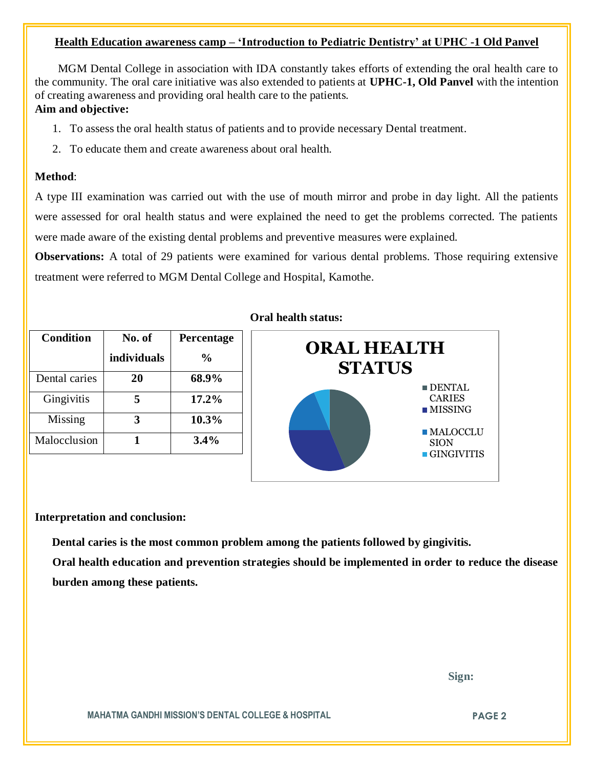#### **Health Education awareness camp – 'Introduction to Pediatric Dentistry' at UPHC -1 Old Panvel**

 MGM Dental College in association with IDA constantly takes efforts of extending the oral health care to the community. The oral care initiative was also extended to patients at **UPHC-1, Old Panvel** with the intention of creating awareness and providing oral health care to the patients.

### **Aim and objective:**

- 1. To assess the oral health status of patients and to provide necessary Dental treatment.
- 2. To educate them and create awareness about oral health.

#### **Method**:

A type III examination was carried out with the use of mouth mirror and probe in day light. All the patients were assessed for oral health status and were explained the need to get the problems corrected. The patients were made aware of the existing dental problems and preventive measures were explained.

**Observations:** A total of 29 patients were examined for various dental problems. Those requiring extensive treatment were referred to MGM Dental College and Hospital, Kamothe.

| <b>Condition</b> | No. of             | <b>Percentage</b> |
|------------------|--------------------|-------------------|
|                  | <b>individuals</b> | $\frac{0}{0}$     |
| Dental caries    | 20                 | 68.9%             |
| Gingivitis       | 5                  | 17.2%             |
| Missing          |                    | 10.3%             |
| Malocclusion     |                    | 3.4%              |

#### **Oral health status:**



#### **Interpretation and conclusion:**

 **Dental caries is the most common problem among the patients followed by gingivitis.**

**Oral health education and prevention strategies should be implemented in order to reduce the disease burden among these patients.**

 **Sign:**

**MAHATMA GANDHI MISSION'S DENTAL COLLEGE & HOSPITAL PAGE 2**